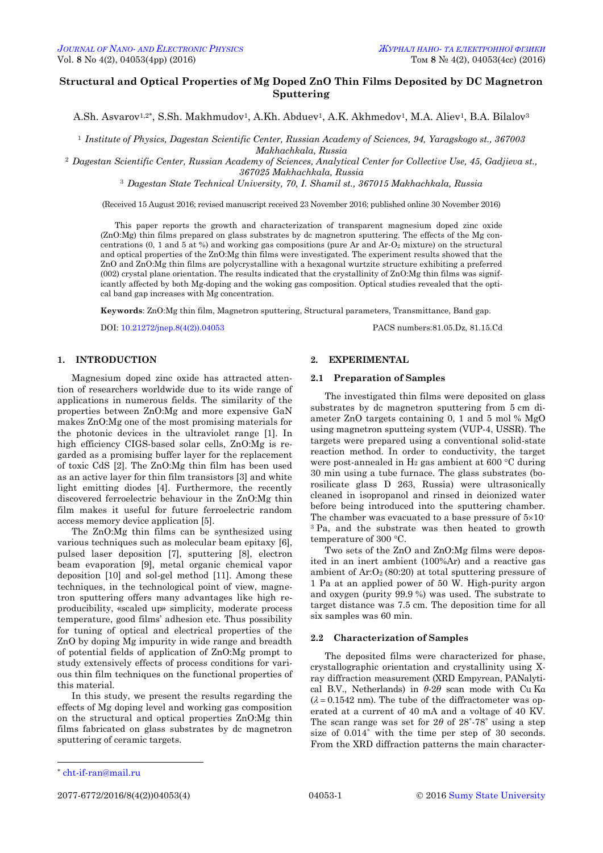## **Structural and Optical Properties of Mg Doped ZnO Thin Films Deposited by DC Magnetron Sputtering**

A.Sh. Asvarov<sup>1,2\*</sup>, S.Sh. Makhmudov<sup>1</sup>, A.Kh. Abduev<sup>1</sup>, A.K. Akhmedov<sup>1</sup>, M.A. Aliev<sup>1</sup>, B.A. Bilalov<sup>3</sup>

<sup>1</sup> *Institute of Physics, Dagestan Scientific Center, Russian Academy of Sciences, 94, Yaragskogo st., 367003 Makhachkala, Russia*

<sup>2</sup> *Dagestan Scientific Center, Russian Academy of Sciences, Analytical Center for Collective Use, 45, Gadjieva st., 367025 Makhachkala, Russia*

<sup>3</sup> *Dagestan State Technical University, 70, I. Shamil st., 367015 Makhachkala, Russia*

(Received 15 August 2016; revised manuscript received 23 November 2016; published online 30 November 2016)

This paper reports the growth and characterization of transparent magnesium doped zinc oxide (ZnO:Mg) thin films prepared on glass substrates by dc magnetron sputtering. The effects of the Mg concentrations  $(0, 1 \text{ and } 5 \text{ at } \%)$  and working gas compositions (pure Ar and Ar-O<sub>2</sub> mixture) on the structural and optical properties of the ZnO:Mg thin films were investigated. The experiment results showed that the ZnO and ZnO:Mg thin films are polycrystalline with a hexagonal wurtzite structure exhibiting a preferred (002) crystal plane orientation. The results indicated that the crystallinity of ZnO:Mg thin films was significantly affected by both Mg-doping and the woking gas composition. Optical studies revealed that the optical band gap increases with Mg concentration.

**Keywords**: ZnO:Mg thin film, Magnetron sputtering, Structural parameters, Transmittance, Band gap.

DOI[: 10.21272/jnep.8\(4\(2\)\).04053](http://dx.doi.org/10.21272/jnep.8(4(2)).04053) PACS numbers:81.05.Dz, 81.15.Cd

### **1. INTRODUCTION**

Magnesium doped zinc oxide has attracted attention of researchers worldwide due to its wide range of applications in numerous fields. The similarity of the properties between ZnO:Mg and more expensive GaN makes ZnO:Mg one of the most promising materials for the photonic devices in the ultraviolet range [1]. In high efficiency CIGS-based solar cells, ZnO:Mg is regarded as a promising buffer layer for the replacement of toxic CdS [2]. The ZnO:Mg thin film has been used as an active layer for thin film transistors [3] and white light emitting diodes [4]. Furthermore, the recently discovered ferroelectric behaviour in the ZnO:Mg thin film makes it useful for future ferroelectric random access memory device application [5].

The ZnO:Mg thin films can be synthesized using various techniques such as molecular beam epitaxy [6], pulsed laser deposition [7], sputtering [8], electron beam evaporation [9], metal organic chemical vapor deposition [10] and sol-gel method [11]. Among these techniques, in the technological point of view, magnetron sputtering offers many advantages like high reproducibility, «scaled up» simplicity, moderate process temperature, good films' adhesion etc. Thus possibility for tuning of optical and electrical properties of the ZnO by doping Mg impurity in wide range and breadth of potential fields of application of ZnO:Mg prompt to study extensively effects of process conditions for various thin film techniques on the functional properties of this material.

In this study, we present the results regarding the effects of Mg doping level and working gas composition on the structural and optical properties ZnO:Mg thin films fabricated on glass substrates by dc magnetron sputtering of ceramic targets.

# **2. EXPERIMENTAL**

### **2.1 Preparation of Samples**

The investigated thin films were deposited on glass substrates by dc magnetron sputtering from 5 cm diameter ZnO targets containing 0, 1 and 5 mol % MgO using magnetron sputteing system (VUP-4, USSR). The targets were prepared using a conventional solid-state reaction method. In order to conductivity, the target were post-annealed in  $H_2$  gas ambient at 600 °C during 30 min using a tube furnace. The glass substrates (borosilicate glass D 263, Russia) were ultrasonically cleaned in isopropanol and rinsed in deionized water before being introduced into the sputtering chamber. The chamber was evacuated to a base pressure of  $5\times10^{-1}$ <sup>3</sup> Pa, and the substrate was then heated to growth temperature of 300 °C.

Two sets of the ZnO and ZnO:Mg films were deposited in an inert ambient (100%Ar) and a reactive gas ambient of  $Ar: O<sub>2</sub> (80:20)$  at total sputtering pressure of 1 Pa at an applied power of 50 W. High-purity argon and oxygen (purity 99.9 %) was used. The substrate to target distance was 7.5 cm. The deposition time for all six samples was 60 min.

### **2.2 Characterization of Samples**

The deposited films were characterized for phase, crystallographic orientation and crystallinity using Xray diffraction measurement (XRD Empyrean, PANalytical B.V., Netherlands) in *θ*-2*θ* scan mode with Cu Kα  $(\lambda = 0.1542 \text{ nm})$ . The tube of the diffractometer was operated at a current of 40 mA and a voltage of 40 KV. The scan range was set for 2*θ* of 28˚-78˚ using a step size of 0.014˚ with the time per step of 30 seconds. From the XRD diffraction patterns the main character-

-

<sup>\*</sup> [cht-if-ran@mail.ru](mailto:cht-if-ran@mail.ru)

<span id="page-0-3"></span><span id="page-0-2"></span><span id="page-0-1"></span><span id="page-0-0"></span>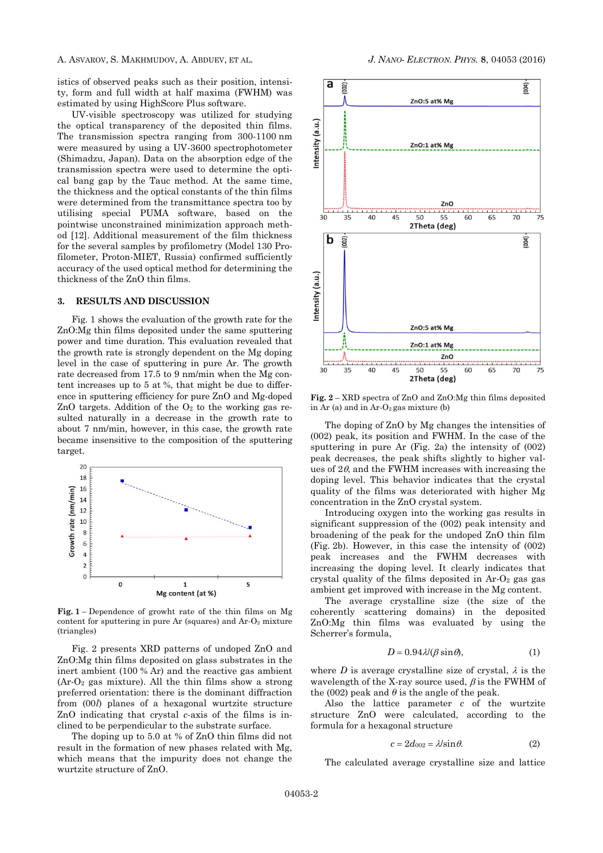istics of observed peaks such as their position, intensity, form and full width at half maxima (FWHM) was estimated by using HighScore Plus software.

UV-visible spectroscopy was utilized for studying the optical transparency of the deposited thin films. The transmission spectra ranging from 300-1100 nm were measured by using a UV-3600 spectrophotometer (Shimadzu, Japan). Data on the absorption edge of the transmission spectra were used to determine the optical bang gap by the Tauc method. At the same time, the thickness and the optical constants of the thin films were determined from the transmittance spectra too by utilising special PUMA software, based on the pointwise unconstrained minimization approach method [12]. Additional measurement of the film thickness for the several samples by profilometry (Model 130 Profilometer, Proton-MIET, Russia) confirmed sufficiently accuracy of the used optical method for determining the thickness of the ZnO thin films.

### **3. RESULTS AND DISCUSSION**

Fig. 1 shows the evaluation of the growth rate for the ZnO:Mg thin films deposited under the same sputtering power and time duration. This evaluation revealed that the growth rate is strongly dependent on the Mg doping level in the case of sputtering in pure Ar. The growth rate decreased from 17.5 to 9 nm/min when the Mg content increases up to 5 at %, that might be due to difference in sputtering efficiency for pure ZnO and Mg-doped ZnO targets. Addition of the  $O_2$  to the working gas resulted naturally in a decrease in the growth rate to about 7 nm/min, however, in this case, the growth rate became insensitive to the composition of the sputtering target.



**Fig. 1** – Dependence of growht rate of the thin films on Mg content for sputtering in pure Ar (squares) and  $Ar-O<sub>2</sub>$  mixture (triangles)

Fig. 2 presents XRD patterns of undoped ZnO and ZnO:Mg thin films deposited on glass substrates in the inert ambient (100 % Ar) and the reactive gas ambient (Ar-O<sup>2</sup> gas mixture). All the thin films show a strong preferred orientation: there is the dominant diffraction from (00*l*) planes of a hexagonal wurtzite structure ZnO indicating that crystal *c*-axis of the films is inclined to be perpendicular to the substrate surface.

The doping up to 5.0 at % of ZnO thin films did not result in the formation of new phases related with Mg, which means that the impurity does not change the wurtzite structure of ZnO.



**Fig. 2** – XRD spectra of ZnO and ZnO:Mg thin films deposited in Ar (a) and in Ar- $O_2$  gas mixture (b)

The doping of ZnO by Mg changes the intensities of (002) peak, its position and FWHM. In the case of the sputtering in pure Ar (Fig. 2a) the intensity of (002) peak decreases, the peak shifts slightly to higher values of  $2\theta$ , and the FWHM increases with increasing the doping level. This behavior indicates that the crystal quality of the films was deteriorated with higher Mg concentration in the ZnO crystal system.

Introducing oxygen into the working gas results in significant suppression of the (002) peak intensity and broadening of the peak for the undoped ZnO thin film (Fig. 2b). However, in this case the intensity of (002) peak increases and the FWHM decreases with increasing the doping level. It clearly indicates that crystal quality of the films deposited in  $Ar-O<sub>2</sub>$  gas gas ambient get improved with increase in the Mg content.

The average crystalline size (the size of the coherently scattering domains) in the deposited ZnO:Mg thin films was evaluated by using the Scherrer's formula,

$$
D = 0.94 \lambda / (\beta \sin \theta), \tag{1}
$$

where *D* is average crystalline size of crystal,  $\lambda$  is the wavelength of the X-ray source used,  $\beta$  is the FWHM of the (002) peak and  $\theta$  is the angle of the peak.

Also the lattice parameter *c* of the wurtzite structure ZnO were calculated, according to the formula for a hexagonal structure

$$
c = 2d_{002} = \lambda/\sin\theta. \tag{2}
$$

The calculated average crystalline size and lattice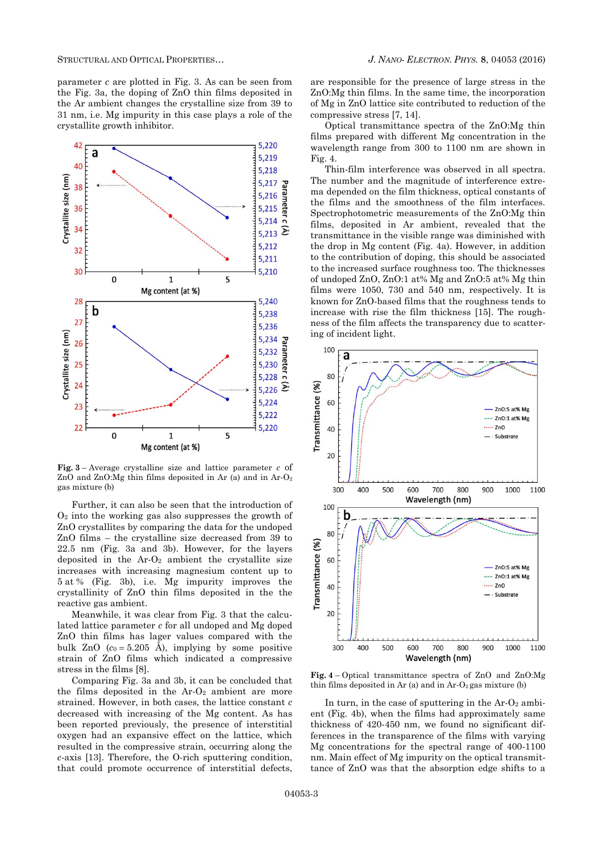parameter *c* are plotted in Fig. 3. As can be seen from the Fig. 3a, the doping of ZnO thin films deposited in the Ar ambient changes the crystalline size from 39 to 31 nm, i.e. Mg impurity in this case plays a role of the crystallite growth inhibitor.



**Fig. 3** – Average crystalline size and lattice parameter *c* of ZnO and ZnO:Mg thin films deposited in Ar (a) and in Ar-O<sup>2</sup> gas mixture (b)

Further, it can also be seen that the introduction of  $O<sub>2</sub>$  into the working gas also suppresses the growth of ZnO crystallites by comparing the data for the undoped ZnO films – the crystalline size decreased from 39 to 22.5 nm (Fig. 3a and 3b). However, for the layers deposited in the  $Ar-O<sub>2</sub>$  ambient the crystallite size increases with increasing magnesium content up to 5 at % (Fig. 3b), i.e. Mg impurity improves the crystallinity of ZnO thin films deposited in the the reactive gas ambient.

Meanwhile, it was clear from Fig. 3 that the calculated lattice parameter *c* for all undoped and Mg doped ZnO thin films has lager values compared with the bulk ZnO  $(c_0 = 5.205 \text{ Å})$ , implying by some positive strain of ZnO films which indicated a compressive stress in the films [8].

Comparing Fig. 3a and 3b, it can be concluded that the films deposited in the  $Ar-O<sub>2</sub>$  ambient are more strained. However, in both cases, the lattice constant *c* decreased with increasing of the Mg content. As has been reported previously, the presence of interstitial oxygen had an expansive effect on the lattice, which resulted in the compressive strain, occurring along the *c*-axis [13]. Therefore, the O-rich sputtering condition, that could promote occurrence of interstitial defects,

are responsible for the presence of large stress in the ZnO:Mg thin films. In the same time, the incorporation of Mg in ZnO lattice site contributed to reduction of the compressive stress [7, 14].

Optical transmittance spectra of the ZnO:Mg thin films prepared with different Mg concentration in the wavelength range from 300 to 1100 nm are shown in Fig. 4.

Thin-film interference was observed in all spectra. The number and the magnitude of interference extrema depended on the film thickness, optical constants of the films and the smoothness of the film interfaces. Spectrophotometric measurements of the ZnO:Mg thin films, deposited in Ar ambient, revealed that the transmittance in the visible range was diminished with the drop in Mg content (Fig. 4a). However, in addition to the contribution of doping, this should be associated to the increased surface roughness too. The thicknesses of undoped ZnO, ZnO:1 at% Mg and ZnO:5 at% Mg thin films were 1050, 730 and 540 nm, respectively. It is known for ZnO-based films that the roughness tends to increase with rise the film thickness [15]. The roughness of the film affects the transparency due to scattering of incident light.



**Fig. 4** – Optical transmittance spectra of ZnO and ZnO:Mg thin films deposited in Ar (a) and in  $Ar-O<sub>2</sub>$  gas mixture (b)

In turn, in the case of sputtering in the  $Ar-O_2$  ambient (Fig. 4b), when the films had approximately same thickness of 420-450 nm, we found no significant differences in the transparence of the films with varying Mg concentrations for the spectral range of 400-1100 nm. Main effect of Mg impurity on the optical transmittance of ZnO was that the absorption edge shifts to a